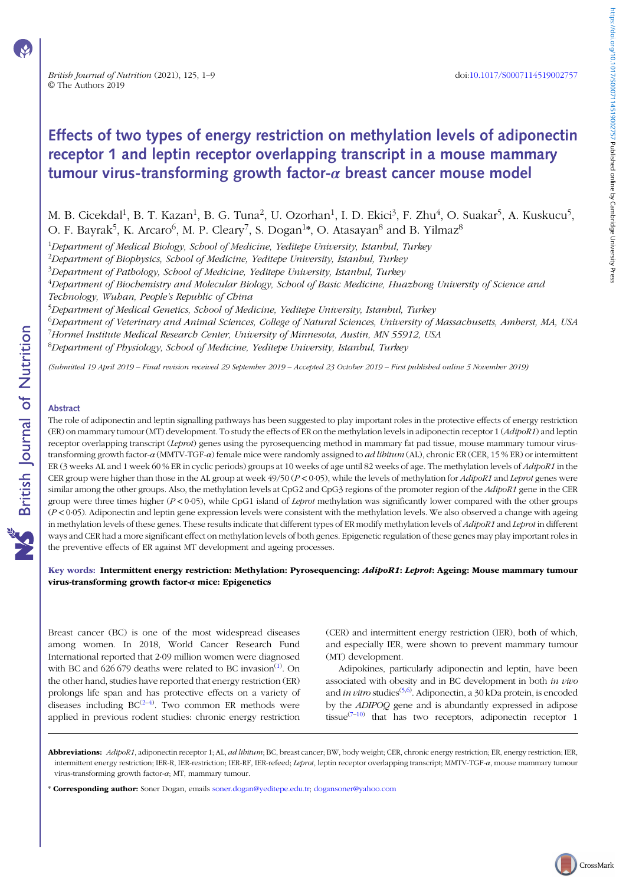https://doi.org/10.1017/50007114519002757 Published online by Cambridge University Press https://doi.org/10.1017/S0007114519002757 Published online by Cambridge University Press

CrossMark

# Effects of two types of energy restriction on methylation levels of adiponectin receptor 1 and leptin receptor overlapping transcript in a mouse mammary tumour virus-transforming growth factor- $\alpha$  breast cancer mouse model

M. B. Cicekdal<sup>1</sup>, B. T. Kazan<sup>1</sup>, B. G. Tuna<sup>2</sup>, U. Ozorhan<sup>1</sup>, I. D. Ekici<sup>3</sup>, F. Zhu<sup>4</sup>, O. Suakar<sup>5</sup>, A. Kuskucu<sup>5</sup>, O. F. Bayrak<sup>5</sup>, K. Arcaro<sup>6</sup>, M. P. Cleary<sup>7</sup>, S. Dogan<sup>1</sup>\*, O. Atasayan<sup>8</sup> and B. Yilmaz<sup>8</sup>

<sup>1</sup>Department of Medical Biology, School of Medicine, Yeditepe University, Istanbul, Turkey

 $^{2}$ Department of Biophysics, School of Medicine, Yeditepe University, Istanbul, Turkey

<sup>3</sup>Department of Pathology, School of Medicine, Yeditepe University, Istanbul, Turkey

 $^4$ Department of Biochemistry and Molecular Biology, School of Basic Medicine, Huazhong University of Science and Technology, Wuhan, People's Republic of China

<sup>5</sup>Department of Medical Genetics, School of Medicine, Yeditepe University, Istanbul, Turkey

<sup>6</sup>Department of Veterinary and Animal Sciences, College of Natural Sciences, University of Massachusetts, Amherst, MA, USA

<sup>7</sup>Hormel Institute Medical Research Center, University of Minnesota, Austin, MN 55912, USA

<sup>8</sup>Department of Physiology, School of Medicine, Yeditepe University, Istanbul, Turkey

(Submitted 19 April 2019 – Final revision received 29 September 2019 – Accepted 23 October 2019 – First published online 5 November 2019)

## Abstract

The role of adiponectin and leptin signalling pathways has been suggested to play important roles in the protective effects of energy restriction (ER) on mammary tumour (MT) development. To study the effects of ER on the methylation levels in adiponectin receptor 1 (AdipoR1) and leptin receptor overlapping transcript (Leprot) genes using the pyrosequencing method in mammary fat pad tissue, mouse mammary tumour virustransforming growth factor-α (MMTV-TGF-α) female mice were randomly assigned to *ad libitum* (AL), chronic ER (CER, 15 % ER) or intermittent ER (3 weeks AL and 1 week 60 % ER in cyclic periods) groups at 10 weeks of age until 82 weeks of age. The methylation levels of *AdipoR1* in the CER group were higher than those in the AL group at week  $49/50 (P < 0.05)$ , while the levels of methylation for *AdipoR1* and *Leprot* genes were similar among the other groups. Also, the methylation levels at CpG2 and CpG3 regions of the promoter region of the AdipoR1 gene in the CER group were three times higher ( $P < 0.05$ ), while CpG1 island of *Leprot* methylation was significantly lower compared with the other groups  $(P< 0.05)$ . Adiponectin and leptin gene expression levels were consistent with the methylation levels. We also observed a change with ageing in methylation levels of these genes. These results indicate that different types of ER modify methylation levels of AdipoR1 and Leprot in different ways and CER had a more significant effect on methylation levels of both genes. Epigenetic regulation of these genes may play important roles in the preventive effects of ER against MT development and ageing processes.

## Key words: Intermittent energy restriction: Methylation: Pyrosequencing: AdipoR1: Leprot: Ageing: Mouse mammary tumour virus-transforming growth factor- $\alpha$  mice: Epigenetics

Breast cancer (BC) is one of the most widespread diseases among women. In 2018, World Cancer Research Fund International reported that 2·09 million women were diagnosed with BC and  $626 679$  deaths were related to BC invasion<sup>(1)</sup>. On the other hand, studies have reported that energy restriction (ER) prolongs life span and has protective effects on a vari[e](#page-7-0)ty of diseases including  $BC^{(2-4)}$ . Two common ER methods were applied in previous rodent studies: chronic energy restriction

(CER) and intermittent energy restriction (IER), both of which, and especially IER, were shown to prevent mammary tumour (MT) development.

Adipokines, particularly adiponectin and leptin, have been associated with obesity and in BC development in both in vivo and *in vitro* studies<sup>(5,6)</sup>. Adiponectin, a 30 kDa protein, is encoded by the ADIPOQ gene and is abundantly expressed in adipose tissue<sup> $(7-10)$ </sup> that h[as](#page-7-0) two receptors, adiponectin receptor 1

Abbreviations: AdipoR1, adiponectin receptor 1; AL, ad libitum; BC, breast cancer; BW, body weight; CER, chronic energy restriction; ER, energy restriction; IER, intermittent energy restriction; IER-R, IER-restriction; IER-RF, IER-refeed; Leprot, leptin receptor overlapping transcript; MMTV-TGF- $\alpha$ , mouse mammary tumour virus-transforming growth factor-α; MT, mammary tumour.

<sup>\*</sup> Corresponding author: Soner Dogan, emails soner.dogan@yeditepe.edu.tr; dogansoner@yahoo.com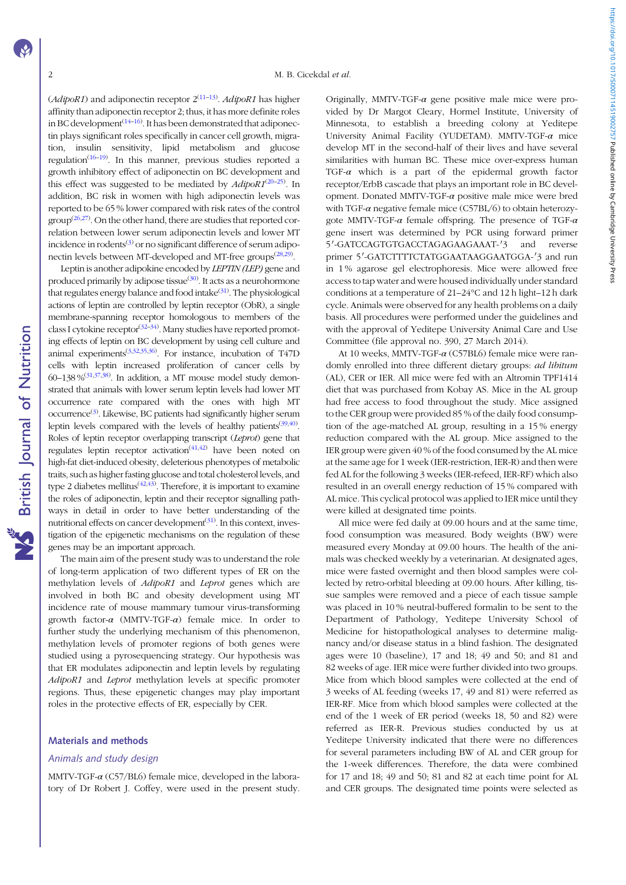**NS** British Journal of Nutrition

 $(AdipoR1)$  and adiponectin receptor  $2^{(11-13)}$  $2^{(11-13)}$  $2^{(11-13)}$  $2^{(11-13)}$  $2^{(11-13)}$ . AdipoR1 has higher affinity than adiponectin receptor 2; thus, it has more definite roles in BC development $(14-16)$  $(14-16)$  $(14-16)$  $(14-16)$ . It has been demonstrated that adiponectin plays significant roles specifically in cancer cell growth, migration, insulin sensitivity, lipid metabolism and glucose regulation<sup>[\(16](#page-7-0)-[19](#page-7-0))</sup>. In this manner, previous studies reported a growth inhibitory effect of adiponectin on BC development and this effect was suggested to be mediated by  $AdipoR1^{(20-25)}$  $AdipoR1^{(20-25)}$  $AdipoR1^{(20-25)}$  $AdipoR1^{(20-25)}$  $AdipoR1^{(20-25)}$ . In addition, BC risk in women with high adiponectin levels was reported to be 65 % lower compared with risk rates of the control  $\text{group}^{(26,27)}$  $\text{group}^{(26,27)}$  $\text{group}^{(26,27)}$  $\text{group}^{(26,27)}$  $\text{group}^{(26,27)}$ . On the other hand, there are studies that reported correlation between lower serum adiponectin levels and lower MT incidence in rodents $^{(3)}$  $^{(3)}$  $^{(3)}$  or no significant difference of serum adipo-nectin levels between MT-developed and MT-free groups<sup>[\(28,29\)](#page-8-0)</sup>.

Leptin is another adipokine encoded by LEPTIN (LEP) gene and produced primarily by adipose tissue<sup>([30\)](#page-8-0)</sup>. It acts as a neurohormone that regulates energy balance and food intake<sup>([31\)](#page-8-0)</sup>. The physiological actions of leptin are controlled by leptin receptor (ObR), a single membrane-spanning receptor homologous to members of the class I cytokine receptor<sup>[\(32](#page-8-0)–[34\)](#page-8-0)</sup>. Many studies have reported promoting effects of leptin on BC development by using cell culture and animal experiments<sup>([3](#page-7-0)[,32](#page-8-0),[35,36](#page-8-0))</sup>. For instance, incubation of T47D cells with leptin increased proliferation of cancer cells by  $60-138\,\%^{(31,37,38)}$  $60-138\,\%^{(31,37,38)}$  $60-138\,\%^{(31,37,38)}$  $60-138\,\%^{(31,37,38)}$  $60-138\,\%^{(31,37,38)}$ . In addition, a MT mouse model study demonstrated that animals with lower serum leptin levels had lower MT occurrence rate compared with the ones with high MT occurrence<sup>[\(3](#page-7-0))</sup>. Likewise, BC patients had significantly higher serum leptin levels compared with the levels of healthy patients  $(39, 40)$  $(39, 40)$  $(39, 40)$ . Roles of leptin receptor overlapping transcript (Leprot) gene that regulates leptin receptor activation<sup> $(41,42)$  $(41,42)$  $(41,42)$ </sup> have been noted on high-fat diet-induced obesity, deleterious phenotypes of metabolic traits, such as higher fasting glucose and total cholesterol levels, and type 2 diabetes mellitus<sup> $(42,43)$  $(42,43)$ </sup>. Therefore, it is important to examine the roles of adiponectin, leptin and their receptor signalling pathways in detail in order to have better understanding of the nutritional effects on cancer development<sup>[\(31](#page-8-0))</sup>. In this context, investigation of the epigenetic mechanisms on the regulation of these genes may be an important approach.

The main aim of the present study was to understand the role of long-term application of two different types of ER on the methylation levels of AdipoR1 and Leprot genes which are involved in both BC and obesity development using MT incidence rate of mouse mammary tumour virus-transforming growth factor- $\alpha$  (MMTV-TGF- $\alpha$ ) female mice. In order to further study the underlying mechanism of this phenomenon, methylation levels of promoter regions of both genes were studied using a pyrosequencing strategy. Our hypothesis was that ER modulates adiponectin and leptin levels by regulating AdipoR1 and Leprot methylation levels at specific promoter regions. Thus, these epigenetic changes may play important roles in the protective effects of ER, especially by CER.

#### Materials and methods

#### Animals and study design

MMTV-TGF- $\alpha$  (C57/BL6) female mice, developed in the laboratory of Dr Robert J. Coffey, were used in the present study. Originally, MMTV-TGF- $\alpha$  gene positive male mice were provided by Dr Margot Cleary, Hormel Institute, University of Minnesota, to establish a breeding colony at Yeditepe University Animal Facility (YUDETAM). MMTV-TGF-α mice develop MT in the second-half of their lives and have several similarities with human BC. These mice over-express human TGF- $\alpha$  which is a part of the epidermal growth factor receptor/ErbB cascade that plays an important role in BC development. Donated MMTV-TGF- $\alpha$  positive male mice were bred with TGF- $\alpha$  negative female mice (C57BL/6) to obtain heterozygote MMTV-TGF- $\alpha$  female offspring. The presence of TGF- $\alpha$ gene insert was determined by PCR using forward primer 5'-GATCCAGTGTGACCTAGAGAAGAAAT-' and reverse primer 5'-GATCTTTTCTATGGAATAAGGAATGGA-'3 and run in 1 % agarose gel electrophoresis. Mice were allowed free access to tap water and were housed individually under standard conditions at a temperature of 21–24°C and 12 h light–12 h dark cycle. Animals were observed for any health problems on a daily basis. All procedures were performed under the guidelines and with the approval of Yeditepe University Animal Care and Use Committee (file approval no. 390, 27 March 2014).

At 10 weeks, MMTV-TGF-α (C57BL6) female mice were randomly enrolled into three different dietary groups: ad libitum (AL), CER or IER. All mice were fed with an Altromin TPF1414 diet that was purchased from Kobay AS. Mice in the AL group had free access to food throughout the study. Mice assigned to the CER group were provided 85 % of the daily food consumption of the age-matched AL group, resulting in a 15 % energy reduction compared with the AL group. Mice assigned to the IER group were given 40 % of the food consumed by the AL mice at the same age for 1 week (IER-restriction, IER-R) and then were fed AL for the following 3 weeks (IER-refeed, IER-RF) which also resulted in an overall energy reduction of 15 % compared with AL mice. This cyclical protocol was applied to IER mice until they were killed at designated time points.

All mice were fed daily at 09.00 hours and at the same time, food consumption was measured. Body weights (BW) were measured every Monday at 09.00 hours. The health of the animals was checked weekly by a veterinarian. At designated ages, mice were fasted overnight and then blood samples were collected by retro-orbital bleeding at 09.00 hours. After killing, tissue samples were removed and a piece of each tissue sample was placed in 10 % neutral-buffered formalin to be sent to the Department of Pathology, Yeditepe University School of Medicine for histopathological analyses to determine malignancy and/or disease status in a blind fashion. The designated ages were 10 (baseline), 17 and 18; 49 and 50; and 81 and 82 weeks of age. IER mice were further divided into two groups. Mice from which blood samples were collected at the end of 3 weeks of AL feeding (weeks 17, 49 and 81) were referred as IER-RF. Mice from which blood samples were collected at the end of the 1 week of ER period (weeks 18, 50 and 82) were referred as IER-R. Previous studies conducted by us at Yeditepe University indicated that there were no differences for several parameters including BW of AL and CER group for the 1-week differences. Therefore, the data were combined for 17 and 18; 49 and 50; 81 and 82 at each time point for AL and CER groups. The designated time points were selected as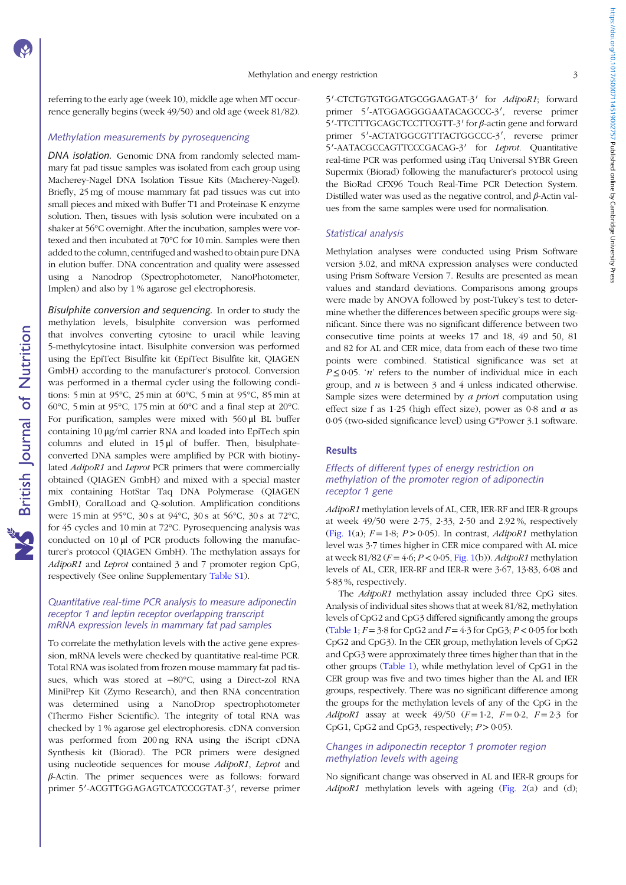referring to the early age (week 10), middle age when MT occurrence generally begins (week 49/50) and old age (week 81/82).

# Methylation measurements by pyrosequencing

DNA isolation. Genomic DNA from randomly selected mammary fat pad tissue samples was isolated from each group using Macherey-Nagel DNA Isolation Tissue Kits (Macherey-Nagel). Briefly, 25 mg of mouse mammary fat pad tissues was cut into small pieces and mixed with Buffer T1 and Proteinase K enzyme solution. Then, tissues with lysis solution were incubated on a shaker at 56°C overnight. After the incubation, samples were vortexed and then incubated at 70°C for 10 min. Samples were then added to the column, centrifuged and washed to obtain pure DNA in elution buffer. DNA concentration and quality were assessed using a Nanodrop (Spectrophotometer, NanoPhotometer, Implen) and also by 1 % agarose gel electrophoresis.

Bisulphite conversion and sequencing. In order to study the methylation levels, bisulphite conversion was performed that involves converting cytosine to uracil while leaving 5-methylcytosine intact. Bisulphite conversion was performed using the EpiTect Bisulfite kit (EpiTect Bisulfite kit, QIAGEN GmbH) according to the manufacturer's protocol. Conversion was performed in a thermal cycler using the following conditions: 5 min at 95°C, 25 min at 60°C, 5 min at 95°C, 85 min at 60°C, 5 min at 95°C, 175 min at 60°C and a final step at 20°C. For purification, samples were mixed with 560 μl BL buffer containing 10 μg/ml carrier RNA and loaded into EpiTech spin columns and eluted in 15 μl of buffer. Then, bisulphateconverted DNA samples were amplified by PCR with biotinylated AdipoR1 and Leprot PCR primers that were commercially obtained (QIAGEN GmbH) and mixed with a special master mix containing HotStar Taq DNA Polymerase (QIAGEN GmbH), CoralLoad and Q-solution. Amplification conditions were 15 min at 95°C, 30 s at 94°C, 30 s at 56°C, 30 s at 72°C, for 45 cycles and 10 min at 72°C. Pyrosequencing analysis was conducted on 10 μl of PCR products following the manufacturer's protocol (QIAGEN GmbH). The methylation assays for AdipoR1 and Leprot contained 3 and 7 promoter region CpG, respectively (See online Supplementary [Table S1](https://doi.org/10.1017/S0007114519002757)).

# Quantitative real-time PCR analysis to measure adiponectin receptor 1 and leptin receptor overlapping transcript mRNA expression levels in mammary fat pad samples

To correlate the methylation levels with the active gene expression, mRNA levels were checked by quantitative real-time PCR. Total RNA was isolated from frozen mouse mammary fat pad tissues, which was stored at −80°C, using a Direct-zol RNA MiniPrep Kit (Zymo Research), and then RNA concentration was determined using a NanoDrop spectrophotometer (Thermo Fisher Scientific). The integrity of total RNA was checked by 1 % agarose gel electrophoresis. cDNA conversion was performed from 200 ng RNA using the iScript cDNA Synthesis kit (Biorad). The PCR primers were designed using nucleotide sequences for mouse AdipoR1, Leprot and β-Actin. The primer sequences were as follows: forward primer 5'-ACGTTGGAGAGTCATCCCGTAT-3', reverse primer

5'-CTCTGTGTGGATGCGGAAGAT-3' for AdipoR1; forward primer 5'-ATGGAGGGGAATACAGCCC-3', reverse primer  $5'$ -TTCTTTGCAGCTCCTTCGTT-3' for  $\beta$ -actin gene and forward primer 5'-ACTATGGCGTTTACTGGCCC-3', reverse primer 5'-AATACGCCAGTTCCCGACAG-3' for Leprot. Quantitative real-time PCR was performed using iTaq Universal SYBR Green Supermix (Biorad) following the manufacturer's protocol using the BioRad CFX96 Touch Real-Time PCR Detection System. Distilled water was used as the negative control, and  $\beta$ -Actin values from the same samples were used for normalisation.

#### Statistical analysis

Methylation analyses were conducted using Prism Software version 3.02, and mRNA expression analyses were conducted using Prism Software Version 7. Results are presented as mean values and standard deviations. Comparisons among groups were made by ANOVA followed by post-Tukey's test to determine whether the differences between specific groups were significant. Since there was no significant difference between two consecutive time points at weeks 17 and 18, 49 and 50, 81 and 82 for AL and CER mice, data from each of these two time points were combined. Statistical significance was set at  $P \le 0.05$ . 'n' refers to the number of individual mice in each group, and  $n$  is between 3 and 4 unless indicated otherwise. Sample sizes were determined by a priori computation using effect size f as 1.25 (high effect size), power as 0.8 and  $\alpha$  as 0·05 (two-sided significance level) using G\*Power 3.1 software.

#### **Results**

# Effects of different types of energy restriction on methylation of the promoter region of adiponectin receptor 1 gene

AdipoR1 methylation levels of AL, CER, IER-RF and IER-R groups at week 49/50 were 2·75, 2·33, 2·50 and 2.92 %, respectively [\(Fig. 1\(](#page-3-0)a);  $F = 1.8$ ;  $P > 0.05$ ). In contrast, *AdipoR1* methylation level was 3·7 times higher in CER mice compared with AL mice at week 81/82 ( $F = 4.6$ ;  $P < 0.05$ , [Fig. 1\(](#page-3-0)b)). AdipoR1 methylation levels of AL, CER, IER-RF and IER-R were 3·67, 13·83, 6·08 and 5·83 %, respectively.

The AdipoR1 methylation assay included three CpG sites. Analysis of individual sites shows that at week 81/82, methylation levels of CpG2 and CpG3 differed significantly among the groups [\(Table 1](#page-3-0);  $F = 3.8$  for CpG2 and  $F = 4.3$  for CpG3;  $P < 0.05$  for both CpG2 and CpG3). In the CER group, methylation levels of CpG2 and CpG3 were approximately three times higher than that in the other groups ([Table 1\)](#page-3-0), while methylation level of CpG1 in the CER group was five and two times higher than the AL and IER groups, respectively. There was no significant difference among the groups for the methylation levels of any of the CpG in the AdipoR1 assay at week  $49/50$  ( $F = 1.2$ ,  $F = 0.2$ ,  $F = 2.3$  for CpG1, CpG2 and CpG3, respectively;  $P > 0.05$ ).

# Changes in adiponectin receptor 1 promoter region methylation levels with ageing

No significant change was observed in AL and IER-R groups for  $AdipoR1$  methylation levels with ageing ([Fig. 2\(](#page-4-0)a) and (d);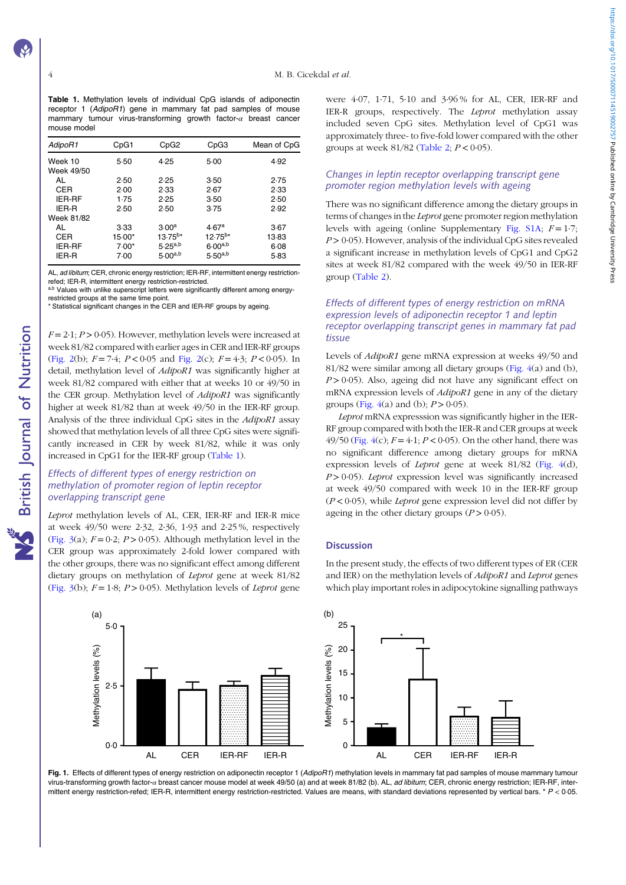<span id="page-3-0"></span>Table 1. Methylation levels of individual CpG islands of adiponectin receptor 1 (AdipoR1) gene in mammary fat pad samples of mouse mammary tumour virus-transforming growth factor- $\alpha$  breast cancer mouse model

| AdipoR1               | CpG1     | CpG <sub>2</sub>  | CpG3              | Mean of CpG |
|-----------------------|----------|-------------------|-------------------|-------------|
| Week 10<br>Week 49/50 | 5.50     | 4.25              | 5.00              | 4.92        |
| AL                    | 2.50     | 2.25              | 3.50              | 2.75        |
| CER                   | 2.00     | 2.33              | 2.67              | 2.33        |
| <b>IER-RF</b>         | 1.75     | 2.25              | 3.50              | 2.50        |
| IER-R                 | 2.50     | 2.50              | 3.75              | 2.92        |
| Week 81/82            |          |                   |                   |             |
| AL                    | 3.33     | 3.00 <sup>a</sup> | 4.67 <sup>a</sup> | 3.67        |
| CER                   | $15.00*$ | $13.75^{b*}$      | $12.75^{b*}$      | 13.83       |
| <b>IER-RF</b>         | $7.00*$  | $5.25^{a,b}$      | $6.00^{a,b}$      | 6.08        |
| IER-R                 | 7.00     | $5.00^{a,b}$      | $5.50^{a,b}$      | 5.83        |

AL, ad libitum; CER, chronic energy restriction; IER-RF, intermittent energy restrictionrefed; IER-R, intermittent energy restriction-restricted.

a,b Values with unlike superscript letters were significantly different among energyrestricted groups at the same time point.

Statistical significant changes in the CER and IER-RF groups by ageing.

 $F = 2.1$ ;  $P > 0.05$ ). However, methylation levels were increased at week 81/82 compared with earlier ages in CER and IER-RF groups ([Fig. 2](#page-4-0)(b);  $F = 7.4$ ;  $P < 0.05$  and Fig. 2(c);  $F = 4.3$ ;  $P < 0.05$ ). In detail, methylation level of *AdipoR1* was significantly higher at week 81/82 compared with either that at weeks 10 or 49/50 in the CER group. Methylation level of *AdipoR1* was significantly higher at week 81/82 than at week 49/50 in the IER-RF group. Analysis of the three individual CpG sites in the AdipoR1 assay showed that methylation levels of all three CpG sites were significantly increased in CER by week 81/82, while it was only increased in CpG1 for the IER-RF group (Table 1).

# Effects of different types of energy restriction on methylation of promoter region of leptin receptor overlapping transcript gene

Leprot methylation levels of AL, CER, IER-RF and IER-R mice at week 49/50 were 2·32, 2·36, 1·93 and 2·25 %, respectively ([Fig. 3](#page-4-0)(a);  $F = 0.2$ ;  $P > 0.05$ ). Although methylation level in the CER group was approximately 2-fold lower compared with the other groups, there was no significant effect among different dietary groups on methylation of Leprot gene at week 81/82 ([Fig. 3](#page-4-0)(b);  $F = 1.8$ ;  $P > 0.05$ ). Methylation levels of *Leprot* gene

were 4·07, 1·71, 5·10 and 3·96 % for AL, CER, IER-RF and IER-R groups, respectively. The Leprot methylation assay included seven CpG sites. Methylation level of CpG1 was approximately three- to five-fold lower compared with the other groups at week  $81/82$  [\(Table 2;](#page-5-0)  $P < 0.05$ ).

# Changes in leptin receptor overlapping transcript gene promoter region methylation levels with ageing

There was no significant difference among the dietary groups in terms of changes in the Leprot gene promoter region methylation levels with ageing (online Supplementary [Fig. S1A;](https://doi.org/10.1017/S0007114519002757)  $F = 1.7$ ;  $P > 0.05$ ). However, analysis of the individual CpG sites revealed a significant increase in methylation levels of CpG1 and CpG2 sites at week 81/82 compared with the week 49/50 in IER-RF group ([Table 2\)](#page-5-0).

# Effects of different types of energy restriction on mRNA expression levels of adiponectin receptor 1 and leptin receptor overlapping transcript genes in mammary fat pad tissue

Levels of AdipoR1 gene mRNA expression at weeks 49/50 and 81/82 were similar among all dietary groups ([Fig. 4\(](#page-5-0)a) and (b),  $P > 0.05$ ). Also, ageing did not have any significant effect on mRNA expression levels of AdipoR1 gene in any of the dietary groups (Fig.  $4(a)$  and (b);  $P > 0.05$ ).

Leprot mRNA expresssion was significantly higher in the IER-RF group compared with both the IER-R and CER groups at week 49/50 ([Fig. 4](#page-5-0)(c);  $F = 4.1$ ;  $P < 0.05$ ). On the other hand, there was no significant difference among dietary groups for mRNA expression levels of Leprot gene at week 81/82 ([Fig. 4\(](#page-5-0)d),  $P > 0.05$ ). Leprot expression level was significantly increased at week 49/50 compared with week 10 in the IER-RF group  $(P < 0.05)$ , while *Leprot* gene expression level did not differ by ageing in the other dietary groups  $(P > 0.05)$ .

#### **Discussion**



In the present study, the effects of two different types of ER (CER and IER) on the methylation levels of AdipoR1 and Leprot genes which play important roles in adipocytokine signalling pathways

Fig. 1. Effects of different types of energy restriction on adiponectin receptor 1 (AdipoR1) methylation levels in mammary fat pad samples of mouse mammary tumour virus-transforming growth factor-a breast cancer mouse model at week 49/50 (a) and at week 81/82 (b). AL, ad libitum; CER, chronic energy restriction; IER-RF, intermittent energy restriction-refed; IER-R, intermittent energy restriction-restricted. Values are means, with standard deviations represented by vertical bars.  $* P < 0.05$ .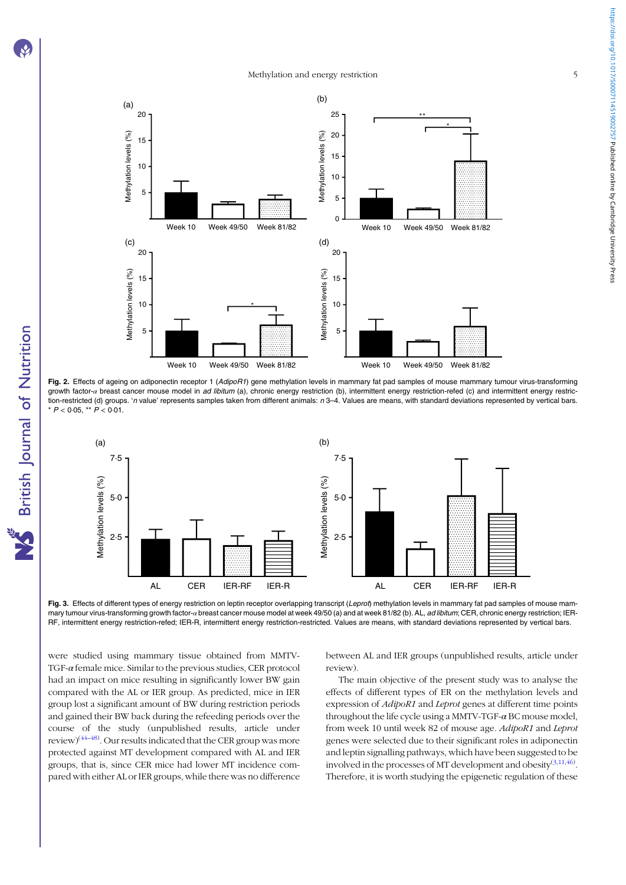# Methylation and energy restriction 5

<span id="page-4-0"></span>

Fig. 2. Effects of ageing on adiponectin receptor 1 (AdipoR1) gene methylation levels in mammary fat pad samples of mouse mammary tumour virus-transforming growth factor-α breast cancer mouse model in ad libitum (a), chronic energy restriction (b), intermittent energy restriction-refed (c) and intermittent energy restriction-restricted (d) groups. 'n value' represents samples taken from different animals: n 3-4. Values are means, with standard deviations represented by vertical bars. \*  $P < 0.05$ , \*\*  $P < 0.01$ .



Fig. 3. Effects of different types of energy restriction on leptin receptor overlapping transcript (Leprot) methylation levels in mammary fat pad samples of mouse mammary tumour virus-transforming growth factor-a breast cancer mouse model at week 49/50 (a) and at week 81/82 (b). AL, ad libitum; CER, chronic energy restriction; IER-RF, intermittent energy restriction-refed; IER-R, intermittent energy restriction-restricted. Values are means, with standard deviations represented by vertical bars.

were studied using mammary tissue obtained from MMTV-TGF-α female mice. Similar to the previous studies, CER protocol had an impact on mice resulting in significantly lower BW gain compared with the AL or IER group. As predicted, mice in IER group lost a significant amount of BW during restriction periods and gained their BW back during the refeeding periods over the course of the study (unpublished results, article under review)<sup>([44](#page-8-0)–[48](#page-8-0))</sup>. Our results indicated that the CER group was more protected against MT development compared with AL and IER groups, that is, since CER mice had lower MT incidence compared with either AL or IER groups, while there was no difference between AL and IER groups (unpublished results, article under review).

The main objective of the present study was to analyse the effects of different types of ER on the methylation levels and expression of AdipoR1 and Leprot genes at different time points throughout the life cycle using a MMTV-TGF- $\alpha$  BC mouse model, from week 10 until week 82 of mouse age. AdipoR1 and Leprot genes were selected due to their significant roles in adiponectin and leptin signalling pathways, which have been suggested to be involved in the processes of MT development and obesity $(3,11,46)$  $(3,11,46)$  $(3,11,46)$  $(3,11,46)$  $(3,11,46)$  $(3,11,46)$ . Therefore, it is worth studying the epigenetic regulation of these https://doi.org/10.1017/50007114519002757 Published online by Cambridge University Press https://doi.org/10.1017/S0007114519002757 Published online by Cambridge University Press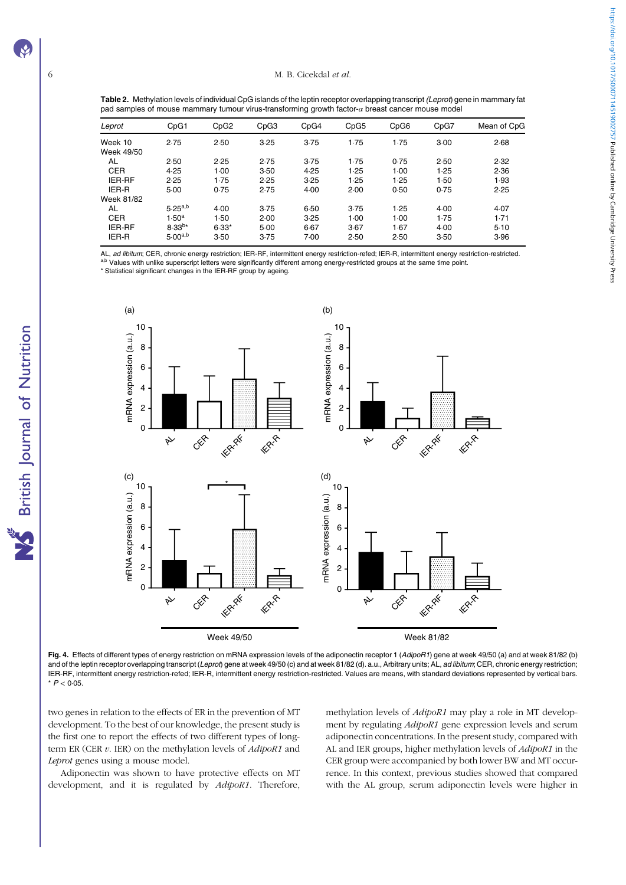British Journal of Nutrition

<span id="page-5-0"></span>Table 2. Methylation levels of individual CpG islands of the leptin receptor overlapping transcript (Leprot) gene in mammary fat pad samples of mouse mammary tumour virus-transforming growth factor-α breast cancer mouse model

|                       |                |         |      | - -  |      |      |      |             |
|-----------------------|----------------|---------|------|------|------|------|------|-------------|
| Leprot                | CpG1           | CpG2    | CpG3 | CpG4 | CpG5 | CpG6 | CpG7 | Mean of CpG |
| Week 10<br>Week 49/50 | 2.75           | 2.50    | 3.25 | 3.75 | 1.75 | 1.75 | 3.00 | 2.68        |
| AL                    | 2.50           | 2.25    | 2.75 | 3.75 | 1.75 | 0.75 | 2.50 | 2.32        |
| <b>CER</b>            | 4.25           | 1.00    | 3.50 | 4.25 | 1.25 | 1.00 | 1.25 | 2.36        |
| <b>IER-RF</b>         | 2.25           | 1.75    | 2.25 | 3.25 | 1.25 | 1.25 | 1.50 | 1.93        |
| IER-R                 | 5.00           | 0.75    | 2.75 | 4.00 | 2.00 | 0.50 | 0.75 | 2.25        |
| Week 81/82            |                |         |      |      |      |      |      |             |
| AL                    | $5.25^{a,b}$   | 4.00    | 3.75 | 6.50 | 3.75 | 1.25 | 4.00 | 4.07        |
| <b>CER</b>            | $1.50^{\rm a}$ | 1.50    | 2.00 | 3.25 | 1.00 | 1.00 | 1.75 | 1.71        |
| <b>IER-RF</b>         | $8.33^{b*}$    | $6.33*$ | 5.00 | 6.67 | 3.67 | 1.67 | 4.00 | 5.10        |
| IER-R                 | $5.00^{a,b}$   | 3.50    | 3.75 | 7.00 | 2.50 | 2.50 | 3.50 | 3.96        |

AL, ad libitum; CER, chronic energy restriction; IER-RF, intermittent energy restriction-refed; IER-R, intermittent energy restriction-restricted.<br>a.b Values with unlike superscript letters were significantly different amo

\* Statistical significant changes in the IER-RF group by ageing.



Fig. 4. Effects of different types of energy restriction on mRNA expression levels of the adiponectin receptor 1 (AdipoR1) gene at week 49/50 (a) and at week 81/82 (b) and of the leptin receptor overlapping transcript (Leprot) gene at week 49/50 (c) and at week 81/82 (d). a.u., Arbitrary units; AL, ad libitum; CER, chronic energy restriction; IER-RF, intermittent energy restriction-refed; IER-R, intermittent energy restriction-restricted. Values are means, with standard deviations represented by vertical bars.  $*$   $P < 0.05$ .

two genes in relation to the effects of ER in the prevention of MT development. To the best of our knowledge, the present study is the first one to report the effects of two different types of longterm ER (CER  $v$ . IER) on the methylation levels of  $AdipoR1$  and Leprot genes using a mouse model.

Adiponectin was shown to have protective effects on MT development, and it is regulated by AdipoR1. Therefore, methylation levels of AdipoR1 may play a role in MT development by regulating AdipoR1 gene expression levels and serum adiponectin concentrations. In the present study, compared with AL and IER groups, higher methylation levels of AdipoR1 in the CER group were accompanied by both lower BW and MT occurrence. In this context, previous studies showed that compared with the AL group, serum adiponectin levels were higher in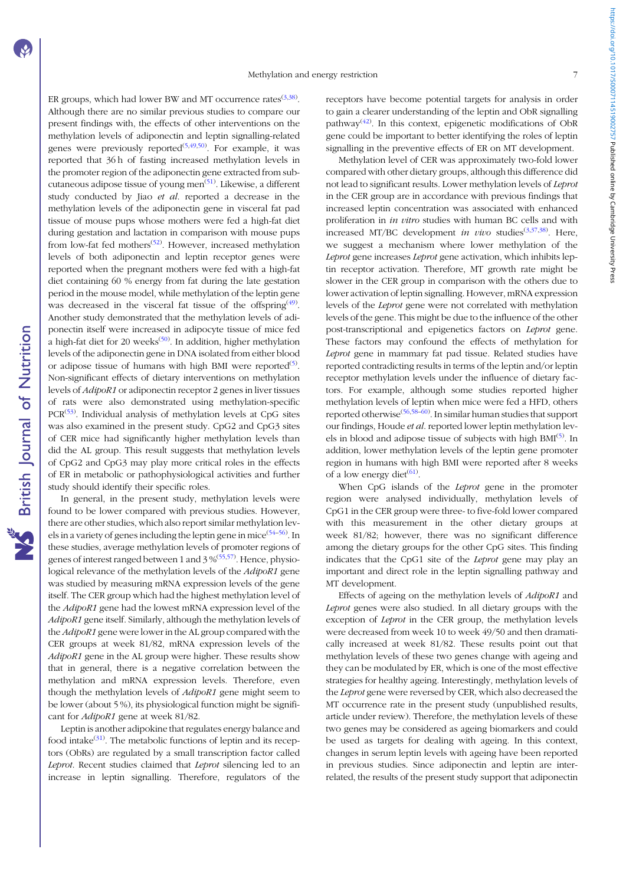**NS** British Journal of Nutrition

ER groups, which had lower BW and MT occurrence rates  $(3,38)$  $(3,38)$  $(3,38)$ . Although there are no similar previous studies to compare our present findings with, the effects of other interventions on the methylation levels of adiponectin and leptin signalling-related genes were previously reported<sup> $(5,49,50)$  $(5,49,50)$  $(5,49,50)$ </sup>. For example, it was reported that 36 h of fasting increased methylation levels in the promoter region of the adiponectin gene extracted from sub-cutaneous adipose tissue of young men<sup>([51\)](#page-8-0)</sup>. Likewise, a different study conducted by Jiao et al. reported a decrease in the methylation levels of the adiponectin gene in visceral fat pad tissue of mouse pups whose mothers were fed a high-fat diet during gestation and lactation in comparison with mouse pups from low-fat fed mothers<sup>([52\)](#page-8-0)</sup>. However, increased methylation levels of both adiponectin and leptin receptor genes were reported when the pregnant mothers were fed with a high-fat diet containing 60 % energy from fat during the late gestation period in the mouse model, while methylation of the leptin gene was decreased in the visceral fat tissue of the offspring<sup>([49\)](#page-8-0)</sup>. Another study demonstrated that the methylation levels of adiponectin itself were increased in adipocyte tissue of mice fed a high-fat diet for 20 weeks<sup>[\(50](#page-8-0))</sup>. In addition, higher methylation levels of the adiponectin gene in DNA isolated from either blood or adipose tissue of humans with high BMI were reported<sup>([5\)](#page-7-0)</sup>. Non-significant effects of dietary interventions on methylation levels of AdipoR1 or adiponectin receptor 2 genes in liver tissues of rats were also demonstrated using methylation-specific PCR<sup>([53\)](#page-8-0)</sup>. Individual analysis of methylation levels at CpG sites was also examined in the present study. CpG2 and CpG3 sites of CER mice had significantly higher methylation levels than did the AL group. This result suggests that methylation levels of CpG2 and CpG3 may play more critical roles in the effects of ER in metabolic or pathophysiological activities and further study should identify their specific roles.

In general, in the present study, methylation levels were found to be lower compared with previous studies. However, there are other studies, which also report similar methylation lev-els in a variety of genes including the leptin gene in mice<sup>([54](#page-8-0)-[56](#page-8-0))</sup>. In these studies, average methylation levels of promoter regions of genes of interest ranged between 1 and 3 %<sup>[\(55](#page-8-0),[57](#page-8-0))</sup>. Hence, physiological relevance of the methylation levels of the AdipoR1 gene was studied by measuring mRNA expression levels of the gene itself. The CER group which had the highest methylation level of the AdipoR1 gene had the lowest mRNA expression level of the AdipoR1 gene itself. Similarly, although the methylation levels of the AdipoR1 gene were lower in the AL group compared with the CER groups at week 81/82, mRNA expression levels of the  $AdipoR1$  gene in the AL group were higher. These results show that in general, there is a negative correlation between the methylation and mRNA expression levels. Therefore, even though the methylation levels of *AdipoR1* gene might seem to be lower (about 5 %), its physiological function might be significant for AdipoR1 gene at week 81/82.

Leptin is another adipokine that regulates energy balance and food intake<sup>[\(31\)](#page-8-0)</sup>. The metabolic functions of leptin and its receptors (ObRs) are regulated by a small transcription factor called Leprot. Recent studies claimed that Leprot silencing led to an increase in leptin signalling. Therefore, regulators of the receptors have become potential targets for analysis in order to gain a clearer understanding of the leptin and ObR signalling pathway<sup>([42](#page-8-0))</sup>. In this context, epigenetic modifications of ObR gene could be important to better identifying the roles of leptin signalling in the preventive effects of ER on MT development.

Methylation level of CER was approximately two-fold lower compared with other dietary groups, although this difference did not lead to significant results. Lower methylation levels of Leprot in the CER group are in accordance with previous findings that increased leptin concentration was associated with enhanced proliferation in in vitro studies with human BC cells and with increased MT/BC development in vivo studies  $(3,37,38)$  $(3,37,38)$  $(3,37,38)$  $(3,37,38)$  $(3,37,38)$ . Here, we suggest a mechanism where lower methylation of the Leprot gene increases Leprot gene activation, which inhibits leptin receptor activation. Therefore, MT growth rate might be slower in the CER group in comparison with the others due to lower activation of leptin signalling. However, mRNA expression levels of the Leprot gene were not correlated with methylation levels of the gene. This might be due to the influence of the other post-transcriptional and epigenetics factors on Leprot gene. These factors may confound the effects of methylation for Leprot gene in mammary fat pad tissue. Related studies have reported contradicting results in terms of the leptin and/or leptin receptor methylation levels under the influence of dietary factors. For example, although some studies reported higher methylation levels of leptin when mice were fed a HFD, others reported otherwise<sup>[\(56,58](#page-8-0)–[60\)](#page-8-0)</sup>. In similar human studies that support our findings, Houde et al. reported lower leptin methylation lev-els in blood and adipose tissue of subjects with high BMI<sup>[\(5\)](#page-7-0)</sup>. In addition, lower methylation levels of the leptin gene promoter region in humans with high BMI were reported after 8 weeks of a low energy diet<sup>[\(61\)](#page-8-0)</sup>.

When CpG islands of the Leprot gene in the promoter region were analysed individually, methylation levels of CpG1 in the CER group were three- to five-fold lower compared with this measurement in the other dietary groups at week 81/82; however, there was no significant difference among the dietary groups for the other CpG sites. This finding indicates that the CpG1 site of the Leprot gene may play an important and direct role in the leptin signalling pathway and MT development.

Effects of ageing on the methylation levels of AdipoR1 and Leprot genes were also studied. In all dietary groups with the exception of Leprot in the CER group, the methylation levels were decreased from week 10 to week 49/50 and then dramatically increased at week 81/82. These results point out that methylation levels of these two genes change with ageing and they can be modulated by ER, which is one of the most effective strategies for healthy ageing. Interestingly, methylation levels of the Leprot gene were reversed by CER, which also decreased the MT occurrence rate in the present study (unpublished results, article under review). Therefore, the methylation levels of these two genes may be considered as ageing biomarkers and could be used as targets for dealing with ageing. In this context, changes in serum leptin levels with ageing have been reported in previous studies. Since adiponectin and leptin are interrelated, the results of the present study support that adiponectin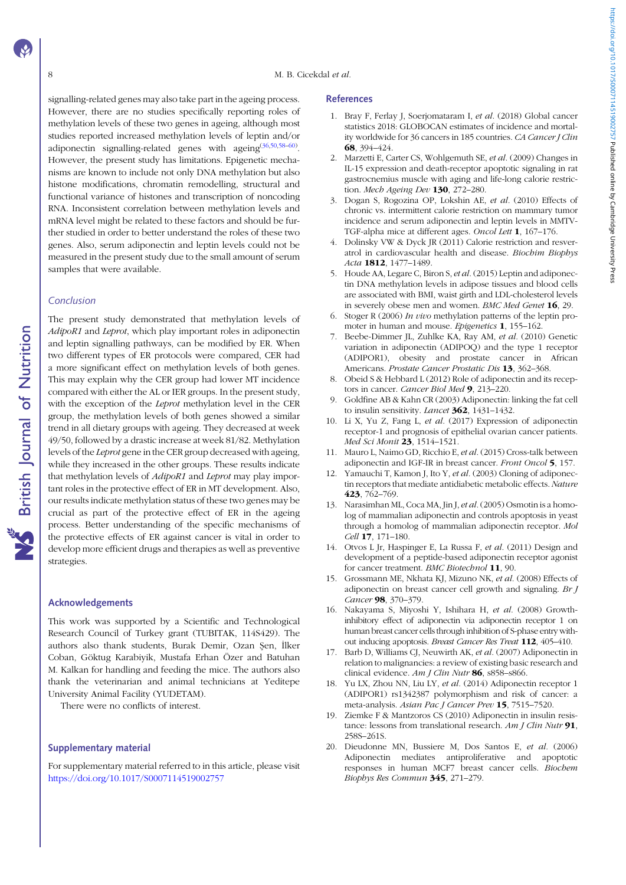<span id="page-7-0"></span>signalling-related genes may also take part in the ageing process. However, there are no studies specifically reporting roles of methylation levels of these two genes in ageing, although most studies reported increased methylation levels of leptin and/or adiponectin signalling-related genes with ageing<sup>[\(36,50,58](#page-8-0)–[60\)](#page-8-0)</sup>. However, the present study has limitations. Epigenetic mechanisms are known to include not only DNA methylation but also histone modifications, chromatin remodelling, structural and functional variance of histones and transcription of noncoding RNA. Inconsistent correlation between methylation levels and mRNA level might be related to these factors and should be further studied in order to better understand the roles of these two genes. Also, serum adiponectin and leptin levels could not be measured in the present study due to the small amount of serum samples that were available.

#### Conclusion

The present study demonstrated that methylation levels of AdipoR1 and Leprot, which play important roles in adiponectin and leptin signalling pathways, can be modified by ER. When two different types of ER protocols were compared, CER had a more significant effect on methylation levels of both genes. This may explain why the CER group had lower MT incidence compared with either the AL or IER groups. In the present study, with the exception of the *Leprot* methylation level in the CER group, the methylation levels of both genes showed a similar trend in all dietary groups with ageing. They decreased at week 49/50, followed by a drastic increase at week 81/82. Methylation levels of the Leprot gene in the CER group decreased with ageing, while they increased in the other groups. These results indicate that methylation levels of *AdipoR1* and *Leprot* may play important roles in the protective effect of ER in MT development. Also, our results indicate methylation status of these two genes may be crucial as part of the protective effect of ER in the ageing process. Better understanding of the specific mechanisms of the protective effects of ER against cancer is vital in order to develop more efficient drugs and therapies as well as preventive strategies.

## Acknowledgements

This work was supported by a Scientific and Technological Research Council of Turkey grant (TUBITAK, 114S429). The authors also thank students, Burak Demir, Ozan Şen, İlker Coban, Göktug Karabiyik, Mustafa Erhan Özer and Batuhan M. Kalkan for handling and feeding the mice. The authors also thank the veterinarian and animal technicians at Yeditepe University Animal Facility (YUDETAM).

There were no conflicts of interest.

#### Supplementary material

For supplementary material referred to in this article, please visit <https://doi.org/10.1017/S0007114519002757>

#### References

- 1. Bray F, Ferlay J, Soerjomataram I, et al. (2018) Global cancer statistics 2018: GLOBOCAN estimates of incidence and mortality worldwide for 36 cancers in 185 countries. CA Cancer J Clin 68, 394–424.
- 2. Marzetti E, Carter CS, Wohlgemuth SE, et al. (2009) Changes in IL-15 expression and death-receptor apoptotic signaling in rat gastrocnemius muscle with aging and life-long calorie restriction. Mech Ageing Dev 130, 272-280.
- 3. Dogan S, Rogozina OP, Lokshin AE, et al. (2010) Effects of chronic vs. intermittent calorie restriction on mammary tumor incidence and serum adiponectin and leptin levels in MMTV-TGF-alpha mice at different ages. Oncol Lett 1, 167–176.
- 4. Dolinsky VW & Dyck JR (2011) Calorie restriction and resveratrol in cardiovascular health and disease. Biochim Biophys Acta 1812, 1477–1489.
- 5. Houde AA, Legare C, Biron S, et al. (2015) Leptin and adiponectin DNA methylation levels in adipose tissues and blood cells are associated with BMI, waist girth and LDL-cholesterol levels in severely obese men and women. BMC Med Genet 16, 29.
- 6. Stoger R (2006) In vivo methylation patterns of the leptin promoter in human and mouse. Epigenetics 1, 155–162.
- 7. Beebe-Dimmer JL, Zuhlke KA, Ray AM, et al. (2010) Genetic variation in adiponectin (ADIPOQ) and the type 1 receptor (ADIPOR1), obesity and prostate cancer in African Americans. Prostate Cancer Prostatic Dis 13, 362-368.
- 8. Obeid S & Hebbard L (2012) Role of adiponectin and its receptors in cancer. Cancer Biol Med 9, 213-220.
- 9. Goldfine AB & Kahn CR (2003) Adiponectin: linking the fat cell to insulin sensitivity. *Lancet* **362**, 1431-1432.
- 10. Li X, Yu Z, Fang L, et al. (2017) Expression of adiponectin receptor-1 and prognosis of epithelial ovarian cancer patients. Med Sci Monit 23, 1514-1521.
- 11. Mauro L, Naimo GD, Ricchio E, et al. (2015) Cross-talk between adiponectin and IGF-IR in breast cancer. Front Oncol 5, 157.
- 12. Yamauchi T, Kamon J, Ito Y, et al. (2003) Cloning of adiponectin receptors that mediate antidiabetic metabolic effects. Nature 423, 762–769.
- 13. Narasimhan ML, Coca MA, Jin J, et al.(2005) Osmotin is a homolog of mammalian adiponectin and controls apoptosis in yeast through a homolog of mammalian adiponectin receptor. Mol Cell 17, 171–180.
- 14. Otvos L Jr, Haspinger E, La Russa F, et al. (2011) Design and development of a peptide-based adiponectin receptor agonist for cancer treatment. BMC Biotechnol 11, 90.
- 15. Grossmann ME, Nkhata KJ, Mizuno NK, et al. (2008) Effects of adiponectin on breast cancer cell growth and signaling. Br J Cancer 98, 370-379.
- 16. Nakayama S, Miyoshi Y, Ishihara H, et al. (2008) Growthinhibitory effect of adiponectin via adiponectin receptor 1 on human breast cancer cells through inhibition of S-phase entry without inducing apoptosis. Breast Cancer Res Treat 112, 405-410.
- 17. Barb D, Williams CJ, Neuwirth AK, et al. (2007) Adiponectin in relation to malignancies: a review of existing basic research and clinical evidence. Am J Clin Nutr 86, s858-s866.
- 18. Yu LX, Zhou NN, Liu LY, et al. (2014) Adiponectin receptor 1 (ADIPOR1) rs1342387 polymorphism and risk of cancer: a meta-analysis. Asian Pac J Cancer Prev 15, 7515-7520.
- 19. Ziemke F & Mantzoros CS (2010) Adiponectin in insulin resistance: lessons from translational research.  $Am J Clin Nutr$  91, 258S–261S.
- 20. Dieudonne MN, Bussiere M, Dos Santos E, et al. (2006) Adiponectin mediates antiproliferative and apoptotic responses in human MCF7 breast cancer cells. Biochem Biophys Res Commun 345, 271–279.